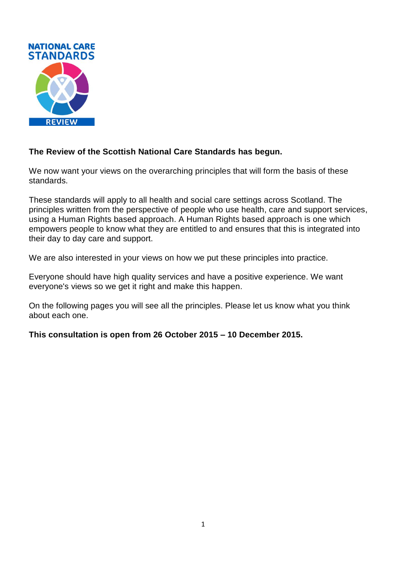

### **The Review of the Scottish National Care Standards has begun.**

We now want your views on the overarching principles that will form the basis of these standards.

These standards will apply to all health and social care settings across Scotland. The principles written from the perspective of people who use health, care and support services, using a Human Rights based approach. A Human Rights based approach is one which empowers people to know what they are entitled to and ensures that this is integrated into their day to day care and support.

We are also interested in your views on how we put these principles into practice.

Everyone should have high quality services and have a positive experience. We want everyone's views so we get it right and make this happen.

On the following pages you will see all the principles. Please let us know what you think about each one.

**This consultation is open from 26 October 2015 – 10 December 2015.**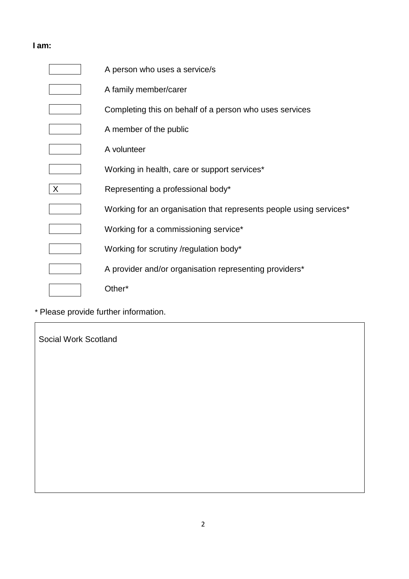### **I am:**

|              | A person who uses a service/s                                      |
|--------------|--------------------------------------------------------------------|
|              | A family member/carer                                              |
|              | Completing this on behalf of a person who uses services            |
|              | A member of the public                                             |
|              | A volunteer                                                        |
|              | Working in health, care or support services*                       |
| $\mathsf{X}$ | Representing a professional body*                                  |
|              | Working for an organisation that represents people using services* |
|              | Working for a commissioning service*                               |
|              | Working for scrutiny /regulation body*                             |
|              | A provider and/or organisation representing providers*             |
|              | Other*                                                             |

\* Please provide further information.

Social Work Scotland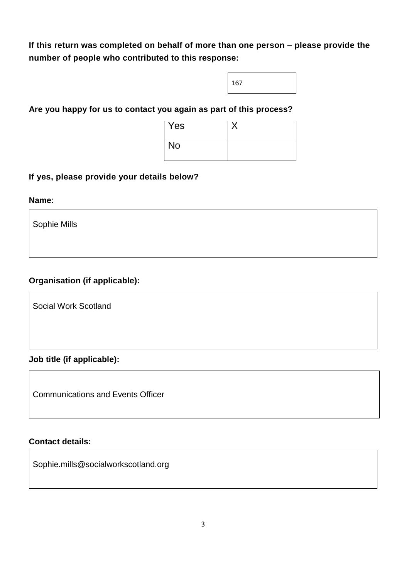**If this return was completed on behalf of more than one person – please provide the number of people who contributed to this response:**



#### **Are you happy for us to contact you again as part of this process?**

| Yes       |  |
|-----------|--|
| <b>No</b> |  |

#### **If yes, please provide your details below?**

**Name**:

Sophie Mills

### **Organisation (if applicable):**

Social Work Scotland

### **Job title (if applicable):**

Communications and Events Officer

#### **Contact details:**

Sophie.mills@socialworkscotland.org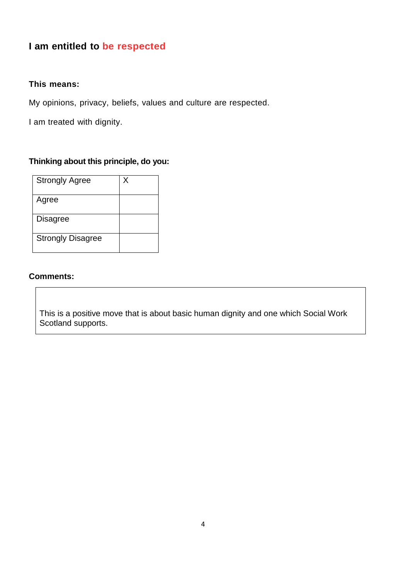# **I am entitled to be respected**

#### **This means:**

My opinions, privacy, beliefs, values and culture are respected.

I am treated with dignity.

#### **Thinking about this principle, do you:**

| <b>Strongly Agree</b>    | Χ |
|--------------------------|---|
| Agree                    |   |
| <b>Disagree</b>          |   |
| <b>Strongly Disagree</b> |   |

#### **Comments:**

This is a positive move that is about basic human dignity and one which Social Work Scotland supports.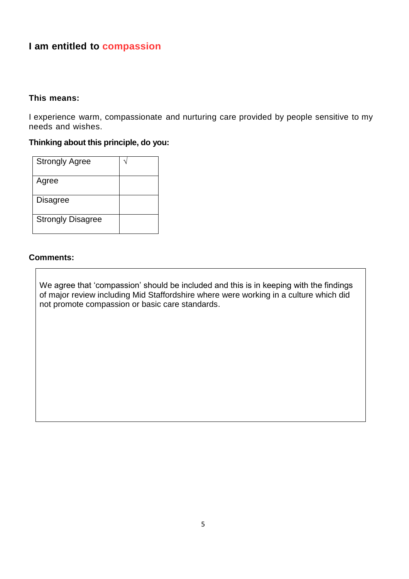## **I am entitled to compassion**

#### **This means:**

I experience warm, compassionate and nurturing care provided by people sensitive to my needs and wishes.

### **Thinking about this principle, do you:**

| <b>Strongly Agree</b>    |  |
|--------------------------|--|
| Agree                    |  |
| <b>Disagree</b>          |  |
| <b>Strongly Disagree</b> |  |

#### **Comments:**

We agree that 'compassion' should be included and this is in keeping with the findings of major review including Mid Staffordshire where were working in a culture which did not promote compassion or basic care standards.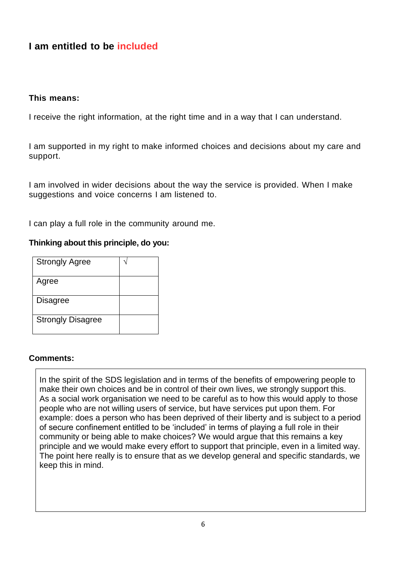## **I am entitled to be included**

#### **This means:**

I receive the right information, at the right time and in a way that I can understand.

I am supported in my right to make informed choices and decisions about my care and support.

I am involved in wider decisions about the way the service is provided. When I make suggestions and voice concerns I am listened to.

I can play a full role in the community around me.

#### **Thinking about this principle, do you:**

| <b>Strongly Agree</b>    |  |
|--------------------------|--|
| Agree                    |  |
| <b>Disagree</b>          |  |
| <b>Strongly Disagree</b> |  |

#### **Comments:**

In the spirit of the SDS legislation and in terms of the benefits of empowering people to make their own choices and be in control of their own lives, we strongly support this. As a social work organisation we need to be careful as to how this would apply to those people who are not willing users of service, but have services put upon them. For example: does a person who has been deprived of their liberty and is subject to a period of secure confinement entitled to be 'included' in terms of playing a full role in their community or being able to make choices? We would argue that this remains a key principle and we would make every effort to support that principle, even in a limited way. The point here really is to ensure that as we develop general and specific standards, we keep this in mind.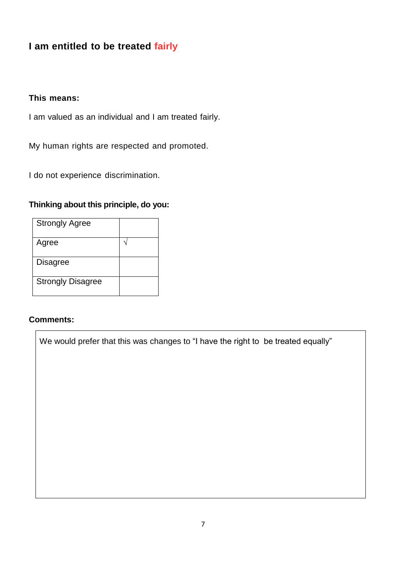## **I am entitled to be treated fairly**

### **This means:**

I am valued as an individual and I am treated fairly.

My human rights are respected and promoted.

I do not experience discrimination.

### **Thinking about this principle, do you:**

| <b>Strongly Agree</b>    |  |
|--------------------------|--|
| Agree                    |  |
| Disagree                 |  |
| <b>Strongly Disagree</b> |  |

#### **Comments:**

We would prefer that this was changes to "I have the right to be treated equally"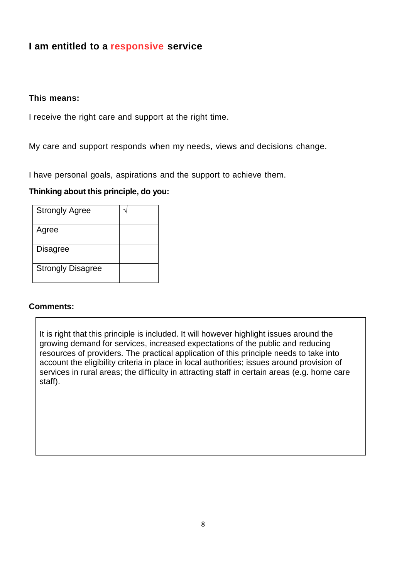## **I am entitled to a responsive service**

#### **This means:**

I receive the right care and support at the right time.

My care and support responds when my needs, views and decisions change.

I have personal goals, aspirations and the support to achieve them.

#### **Thinking about this principle, do you:**

| <b>Strongly Agree</b>    |  |
|--------------------------|--|
| Agree                    |  |
| Disagree                 |  |
| <b>Strongly Disagree</b> |  |

#### **Comments:**

It is right that this principle is included. It will however highlight issues around the growing demand for services, increased expectations of the public and reducing resources of providers. The practical application of this principle needs to take into account the eligibility criteria in place in local authorities; issues around provision of services in rural areas; the difficulty in attracting staff in certain areas (e.g. home care staff).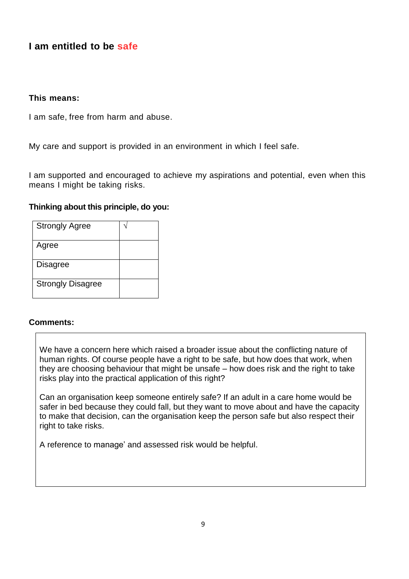## **I am entitled to be safe**

#### **This means:**

I am safe, free from harm and abuse.

My care and support is provided in an environment in which I feel safe.

I am supported and encouraged to achieve my aspirations and potential, even when this means I might be taking risks.

#### **Thinking about this principle, do you:**

| <b>Strongly Agree</b>    |  |
|--------------------------|--|
| Agree                    |  |
| <b>Disagree</b>          |  |
| <b>Strongly Disagree</b> |  |

#### **Comments:**

We have a concern here which raised a broader issue about the conflicting nature of human rights. Of course people have a right to be safe, but how does that work, when they are choosing behaviour that might be unsafe – how does risk and the right to take risks play into the practical application of this right?

Can an organisation keep someone entirely safe? If an adult in a care home would be safer in bed because they could fall, but they want to move about and have the capacity to make that decision, can the organisation keep the person safe but also respect their right to take risks.

A reference to manage' and assessed risk would be helpful.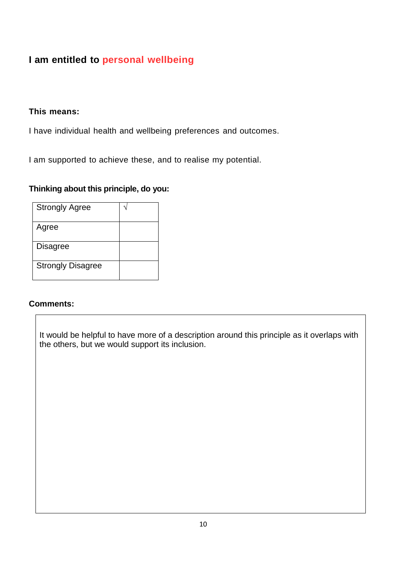# **I am entitled to personal wellbeing**

#### **This means:**

I have individual health and wellbeing preferences and outcomes.

I am supported to achieve these, and to realise my potential.

### **Thinking about this principle, do you:**

| <b>Strongly Agree</b>    |  |
|--------------------------|--|
| Agree                    |  |
| Disagree                 |  |
| <b>Strongly Disagree</b> |  |

#### **Comments:**

It would be helpful to have more of a description around this principle as it overlaps with the others, but we would support its inclusion.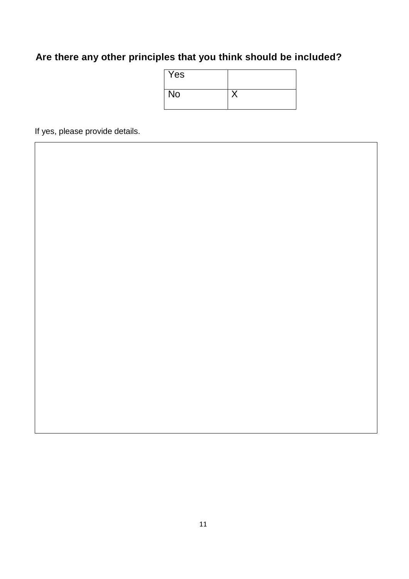# **Are there any other principles that you think should be included?**

| Yes |  |
|-----|--|
| No  |  |

If yes, please provide details.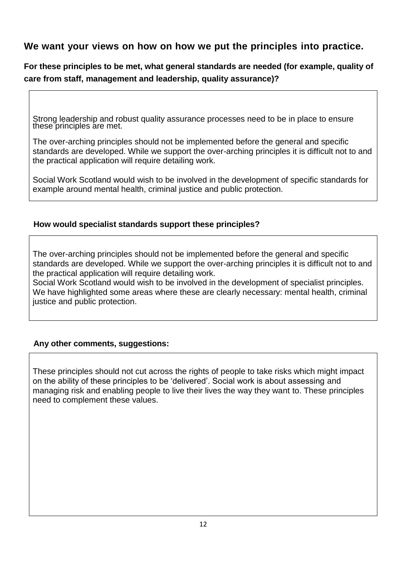### **We want your views on how on how we put the principles into practice.**

**For these principles to be met, what general standards are needed (for example, quality of care from staff, management and leadership, quality assurance)?**

Strong leadership and robust quality assurance processes need to be in place to ensure these principles are met.

The over-arching principles should not be implemented before the general and specific standards are developed. While we support the over-arching principles it is difficult not to and the practical application will require detailing work.

Social Work Scotland would wish to be involved in the development of specific standards for example around mental health, criminal justice and public protection.

#### **How would specialist standards support these principles?**

The over-arching principles should not be implemented before the general and specific standards are developed. While we support the over-arching principles it is difficult not to and the practical application will require detailing work.

Social Work Scotland would wish to be involved in the development of specialist principles. We have highlighted some areas where these are clearly necessary: mental health, criminal justice and public protection.

### **Any other comments, suggestions:**

These principles should not cut across the rights of people to take risks which might impact on the ability of these principles to be 'delivered'. Social work is about assessing and managing risk and enabling people to live their lives the way they want to. These principles need to complement these values.